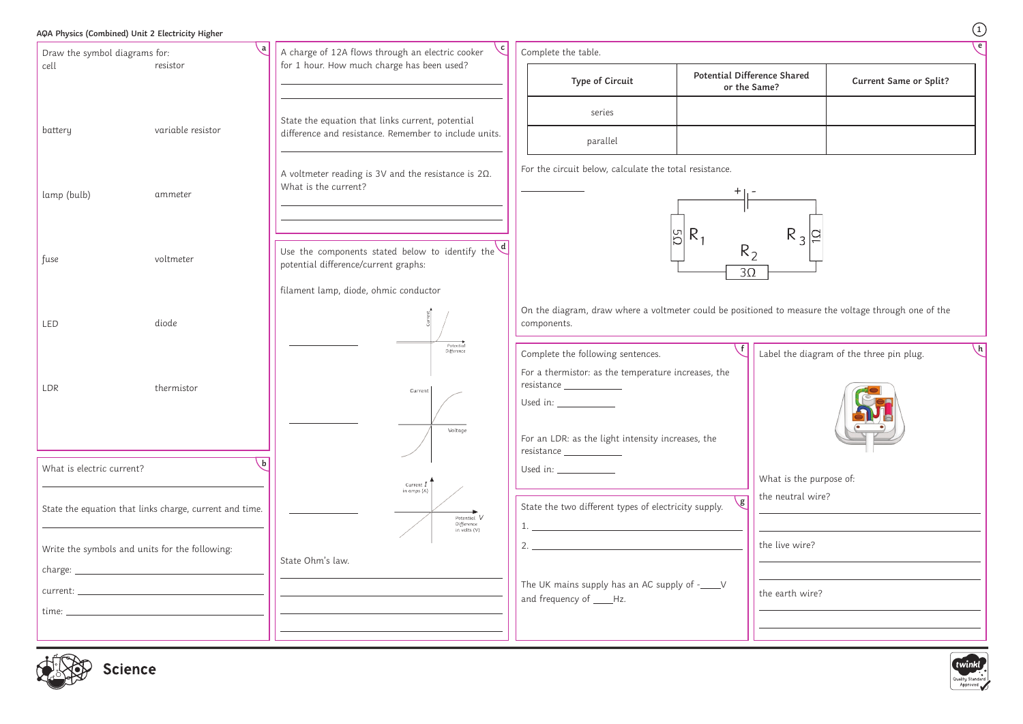|                                                         | AQA Physics (Combined) Unit 2 Electricity Higher |                                                                                                                  |                                                                                                                                                                                                                                                                                                                                                                                                                                                                                                                                |                                             | $\begin{pmatrix} 1 \end{pmatrix}$                                                                    |
|---------------------------------------------------------|--------------------------------------------------|------------------------------------------------------------------------------------------------------------------|--------------------------------------------------------------------------------------------------------------------------------------------------------------------------------------------------------------------------------------------------------------------------------------------------------------------------------------------------------------------------------------------------------------------------------------------------------------------------------------------------------------------------------|---------------------------------------------|------------------------------------------------------------------------------------------------------|
| ۰a<br>Draw the symbol diagrams for:                     |                                                  | A charge of 12A flows through an electric cooker                                                                 | Complete the table.                                                                                                                                                                                                                                                                                                                                                                                                                                                                                                            |                                             |                                                                                                      |
| cell                                                    | resistor                                         | for 1 hour. How much charge has been used?                                                                       | <b>Type of Circuit</b>                                                                                                                                                                                                                                                                                                                                                                                                                                                                                                         | Potential Difference Shared<br>or the Same? | <b>Current Same or Split?</b>                                                                        |
| battery                                                 | variable resistor                                | State the equation that links current, potential<br>difference and resistance. Remember to include units.        | series<br>parallel                                                                                                                                                                                                                                                                                                                                                                                                                                                                                                             |                                             |                                                                                                      |
| lamp (bulb)                                             | ammeter                                          | A voltmeter reading is 3V and the resistance is $2\Omega$ .<br>What is the current?                              | For the circuit below, calculate the total resistance.                                                                                                                                                                                                                                                                                                                                                                                                                                                                         |                                             |                                                                                                      |
| fuse                                                    | voltmeter                                        | Use the components stated below to identify the $\left\langle d \right $<br>potential difference/current graphs: | $R_3$ $\approx$<br>$R_1$<br>$\overline{50}$<br>R <sub>2</sub><br>$3\Omega$                                                                                                                                                                                                                                                                                                                                                                                                                                                     |                                             |                                                                                                      |
| LED                                                     | diode                                            | filament lamp, diode, ohmic conductor                                                                            | components.                                                                                                                                                                                                                                                                                                                                                                                                                                                                                                                    |                                             | On the diagram, draw where a voltmeter could be positioned to measure the voltage through one of the |
| LDR                                                     | thermistor                                       | Potentia<br>Difference<br>Current<br>Voltage                                                                     | Complete the following sentences.<br>For a thermistor: as the temperature increases, the<br>resistance __________<br>Used in:<br>For an LDR: as the light intensity increases, the<br>resistance ____________                                                                                                                                                                                                                                                                                                                  |                                             | $\left\lfloor h \right\rfloor$<br>Label the diagram of the three pin plug.                           |
| What is electric current?                               |                                                  | Current $I$<br>in amps (A)                                                                                       | Used in: _____________                                                                                                                                                                                                                                                                                                                                                                                                                                                                                                         |                                             | What is the purpose of:                                                                              |
| State the equation that links charge, current and time. |                                                  | Potential V<br>Difference<br>in volts (V)                                                                        | State the two different types of electricity supply.<br>$1.$ $\overline{\phantom{a}}$ $\overline{\phantom{a}}$ $\overline{\phantom{a}}$ $\overline{\phantom{a}}$ $\overline{\phantom{a}}$ $\overline{\phantom{a}}$ $\overline{\phantom{a}}$ $\overline{\phantom{a}}$ $\overline{\phantom{a}}$ $\overline{\phantom{a}}$ $\overline{\phantom{a}}$ $\overline{\phantom{a}}$ $\overline{\phantom{a}}$ $\overline{\phantom{a}}$ $\overline{\phantom{a}}$ $\overline{\phantom{a}}$ $\overline{\phantom{a}}$ $\overline{\phantom{a}}$ | the neutral wire?<br>$\mathsf{g}$           |                                                                                                      |
| Write the symbols and units for the following:          |                                                  | State Ohm's law.                                                                                                 | $\overline{2}$ .                                                                                                                                                                                                                                                                                                                                                                                                                                                                                                               | the live wire?                              |                                                                                                      |
|                                                         |                                                  |                                                                                                                  |                                                                                                                                                                                                                                                                                                                                                                                                                                                                                                                                |                                             |                                                                                                      |
|                                                         |                                                  |                                                                                                                  | The UK mains supply has an AC supply of -____V<br>and frequency of ____Hz.                                                                                                                                                                                                                                                                                                                                                                                                                                                     | the earth wire?                             |                                                                                                      |
|                                                         |                                                  |                                                                                                                  |                                                                                                                                                                                                                                                                                                                                                                                                                                                                                                                                |                                             |                                                                                                      |
| $\frac{1}{\sqrt{2}}$                                    |                                                  |                                                                                                                  |                                                                                                                                                                                                                                                                                                                                                                                                                                                                                                                                |                                             |                                                                                                      |



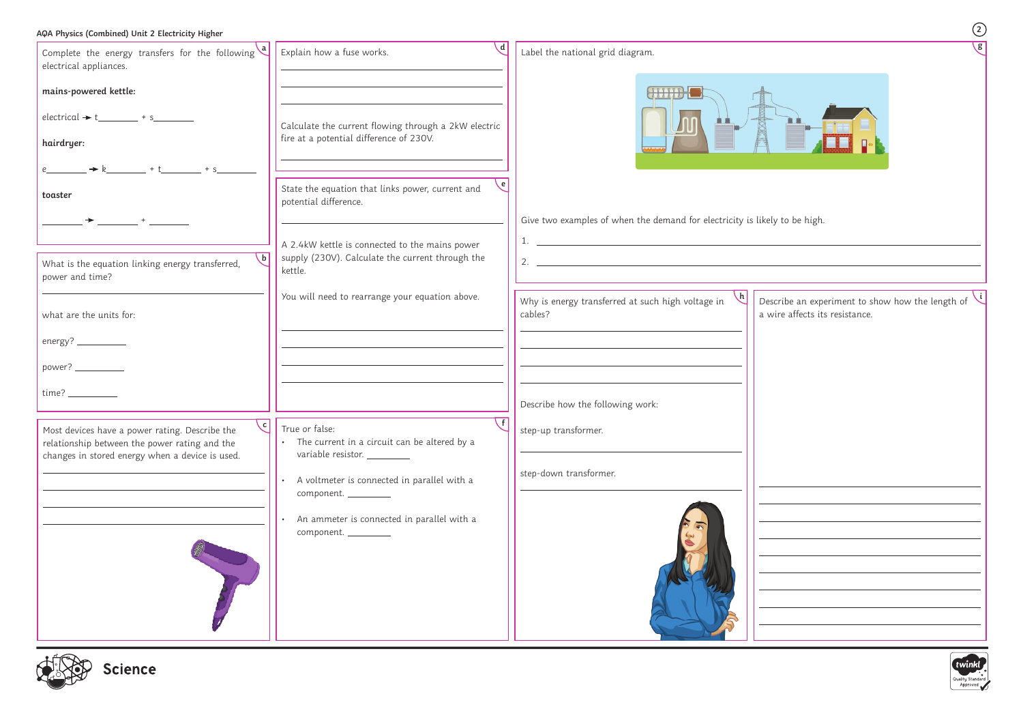## **AQA Physics (Combined) Unit 2 Electricity Higher**

**2**

| Complete the energy transfers for the following $\begin{pmatrix} a \\ b \end{pmatrix}$<br>electrical appliances. | $\mathcal{A}$<br>Explain how a fuse works.                                                         | Label the national grid diagram.                                                                                                                                                                                                                                                                                                                                                                     |                                                                                    |  |
|------------------------------------------------------------------------------------------------------------------|----------------------------------------------------------------------------------------------------|------------------------------------------------------------------------------------------------------------------------------------------------------------------------------------------------------------------------------------------------------------------------------------------------------------------------------------------------------------------------------------------------------|------------------------------------------------------------------------------------|--|
| mains-powered kettle:                                                                                            |                                                                                                    | <b>CHILLE</b>                                                                                                                                                                                                                                                                                                                                                                                        |                                                                                    |  |
| $electrical + t$ + s                                                                                             | Calculate the current flowing through a 2kW electric                                               |                                                                                                                                                                                                                                                                                                                                                                                                      |                                                                                    |  |
| hairdryer:                                                                                                       | fire at a potential difference of 230V.                                                            |                                                                                                                                                                                                                                                                                                                                                                                                      |                                                                                    |  |
|                                                                                                                  |                                                                                                    |                                                                                                                                                                                                                                                                                                                                                                                                      |                                                                                    |  |
| toaster                                                                                                          | State the equation that links power, current and<br>potential difference.                          |                                                                                                                                                                                                                                                                                                                                                                                                      |                                                                                    |  |
| $\qquad \qquad +$                                                                                                |                                                                                                    | Give two examples of when the demand for electricity is likely to be high.<br>$1.$ $\frac{1}{2}$ $\frac{1}{2}$ $\frac{1}{2}$ $\frac{1}{2}$ $\frac{1}{2}$ $\frac{1}{2}$ $\frac{1}{2}$ $\frac{1}{2}$ $\frac{1}{2}$ $\frac{1}{2}$ $\frac{1}{2}$ $\frac{1}{2}$ $\frac{1}{2}$ $\frac{1}{2}$ $\frac{1}{2}$ $\frac{1}{2}$ $\frac{1}{2}$ $\frac{1}{2}$ $\frac{1}{2}$ $\frac{1}{2}$ $\frac{1}{2}$ $\frac{1}{$ |                                                                                    |  |
| $\mathsf{b}$<br>What is the equation linking energy transferred,                                                 | A 2.4kW kettle is connected to the mains power<br>supply (230V). Calculate the current through the | 2. $\overline{\phantom{a}}$                                                                                                                                                                                                                                                                                                                                                                          |                                                                                    |  |
| power and time?                                                                                                  | kettle.                                                                                            |                                                                                                                                                                                                                                                                                                                                                                                                      |                                                                                    |  |
| what are the units for:                                                                                          | You will need to rearrange your equation above.                                                    | Why is energy transferred at such high voltage in<br>cables?                                                                                                                                                                                                                                                                                                                                         | Describe an experiment to show how the length of<br>a wire affects its resistance. |  |
|                                                                                                                  |                                                                                                    |                                                                                                                                                                                                                                                                                                                                                                                                      |                                                                                    |  |
| energy? ___________                                                                                              |                                                                                                    |                                                                                                                                                                                                                                                                                                                                                                                                      |                                                                                    |  |
| power? ____________                                                                                              |                                                                                                    |                                                                                                                                                                                                                                                                                                                                                                                                      |                                                                                    |  |
|                                                                                                                  |                                                                                                    | Describe how the following work:                                                                                                                                                                                                                                                                                                                                                                     |                                                                                    |  |
| Most devices have a power rating. Describe the                                                                   | $\mathcal{C}$ True or false:                                                                       | step-up transformer.                                                                                                                                                                                                                                                                                                                                                                                 |                                                                                    |  |
| relationship between the power rating and the                                                                    | The current in a circuit can be altered by a<br>$\bullet$                                          |                                                                                                                                                                                                                                                                                                                                                                                                      |                                                                                    |  |
| changes in stored energy when a device is used.                                                                  | variable resistor. __________                                                                      | step-down transformer.                                                                                                                                                                                                                                                                                                                                                                               |                                                                                    |  |
|                                                                                                                  | A voltmeter is connected in parallel with a<br>component. _________                                |                                                                                                                                                                                                                                                                                                                                                                                                      |                                                                                    |  |
|                                                                                                                  | An ammeter is connected in parallel with a                                                         |                                                                                                                                                                                                                                                                                                                                                                                                      |                                                                                    |  |
|                                                                                                                  | component. _________                                                                               |                                                                                                                                                                                                                                                                                                                                                                                                      |                                                                                    |  |
|                                                                                                                  |                                                                                                    |                                                                                                                                                                                                                                                                                                                                                                                                      |                                                                                    |  |
|                                                                                                                  |                                                                                                    |                                                                                                                                                                                                                                                                                                                                                                                                      |                                                                                    |  |
|                                                                                                                  |                                                                                                    |                                                                                                                                                                                                                                                                                                                                                                                                      |                                                                                    |  |
|                                                                                                                  |                                                                                                    |                                                                                                                                                                                                                                                                                                                                                                                                      |                                                                                    |  |
|                                                                                                                  |                                                                                                    |                                                                                                                                                                                                                                                                                                                                                                                                      |                                                                                    |  |





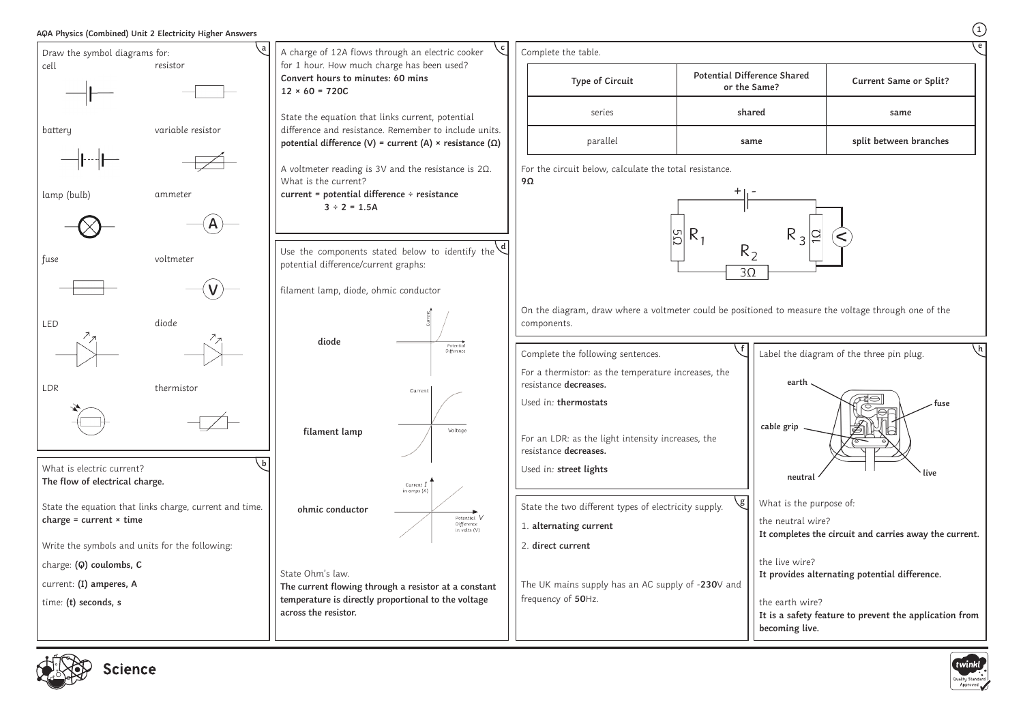